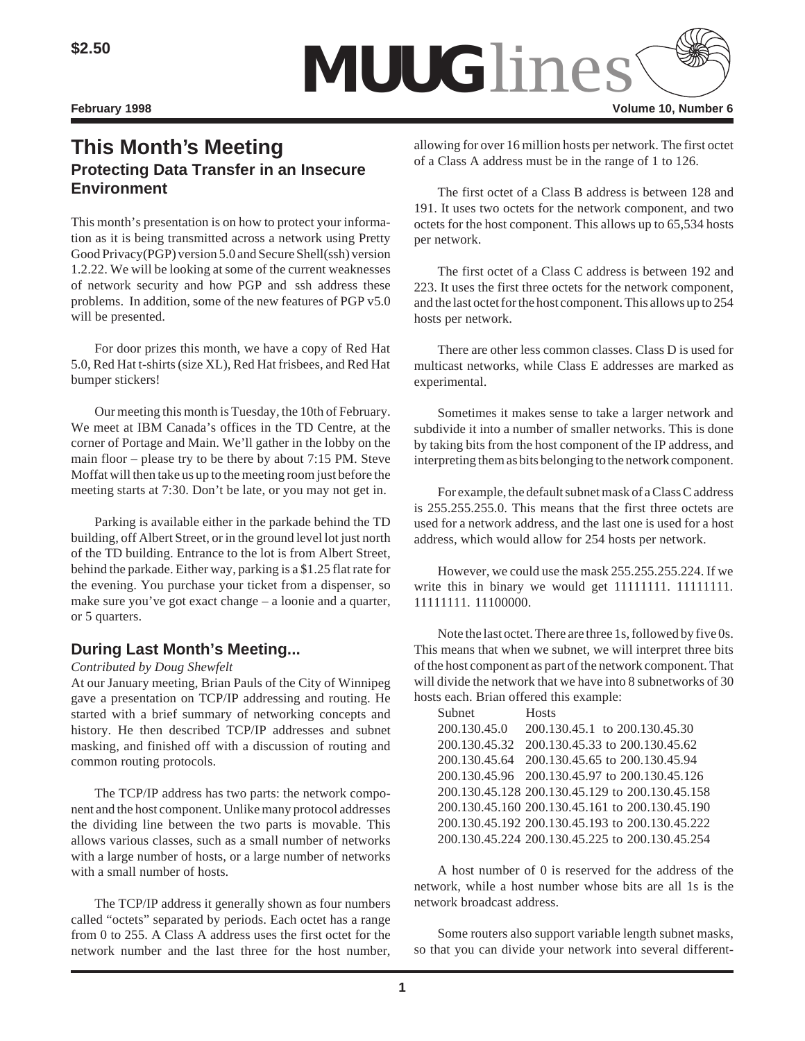

# **This Month's Meeting Protecting Data Transfer in an Insecure Environment**

This month's presentation is on how to protect your information as it is being transmitted across a network using Pretty Good Privacy(PGP) version 5.0 and Secure Shell(ssh) version 1.2.22. We will be looking at some of the current weaknesses of network security and how PGP and ssh address these problems. In addition, some of the new features of PGP v5.0 will be presented.

For door prizes this month, we have a copy of Red Hat 5.0, Red Hat t-shirts (size XL), Red Hat frisbees, and Red Hat bumper stickers!

Our meeting this month is Tuesday, the 10th of February. We meet at IBM Canada's offices in the TD Centre, at the corner of Portage and Main. We'll gather in the lobby on the main floor – please try to be there by about 7:15 PM. Steve Moffat will then take us up to the meeting room just before the meeting starts at 7:30. Don't be late, or you may not get in.

Parking is available either in the parkade behind the TD building, off Albert Street, or in the ground level lot just north of the TD building. Entrance to the lot is from Albert Street, behind the parkade. Either way, parking is a \$1.25 flat rate for the evening. You purchase your ticket from a dispenser, so make sure you've got exact change – a loonie and a quarter, or 5 quarters.

### **During Last Month's Meeting...**

*Contributed by Doug Shewfelt*

At our January meeting, Brian Pauls of the City of Winnipeg gave a presentation on TCP/IP addressing and routing. He started with a brief summary of networking concepts and history. He then described TCP/IP addresses and subnet masking, and finished off with a discussion of routing and common routing protocols.

The TCP/IP address has two parts: the network component and the host component. Unlike many protocol addresses the dividing line between the two parts is movable. This allows various classes, such as a small number of networks with a large number of hosts, or a large number of networks with a small number of hosts.

The TCP/IP address it generally shown as four numbers called "octets" separated by periods. Each octet has a range from 0 to 255. A Class A address uses the first octet for the network number and the last three for the host number, allowing for over 16 million hosts per network. The first octet of a Class A address must be in the range of 1 to 126.

The first octet of a Class B address is between 128 and 191. It uses two octets for the network component, and two octets for the host component. This allows up to 65,534 hosts per network.

The first octet of a Class C address is between 192 and 223. It uses the first three octets for the network component, and the last octet for the host component. This allows up to 254 hosts per network.

There are other less common classes. Class D is used for multicast networks, while Class E addresses are marked as experimental.

Sometimes it makes sense to take a larger network and subdivide it into a number of smaller networks. This is done by taking bits from the host component of the IP address, and interpreting them as bits belonging to the network component.

For example, the default subnet mask of a Class C address is 255.255.255.0. This means that the first three octets are used for a network address, and the last one is used for a host address, which would allow for 254 hosts per network.

However, we could use the mask 255.255.255.224. If we write this in binary we would get 11111111. 111111111. 11111111. 11100000.

Note the last octet. There are three 1s, followed by five 0s. This means that when we subnet, we will interpret three bits of the host component as part of the network component. That will divide the network that we have into 8 subnetworks of 30 hosts each. Brian offered this example:

| <b>Hosts</b>                                    |
|-------------------------------------------------|
| 200.130.45.1 to 200.130.45.30                   |
| 200.130.45.32 200.130.45.33 to 200.130.45.62    |
| 200.130.45.64 200.130.45.65 to 200.130.45.94    |
| 200.130.45.96 200.130.45.97 to 200.130.45.126   |
| 200.130.45.128 200.130.45.129 to 200.130.45.158 |
| 200.130.45.160 200.130.45.161 to 200.130.45.190 |
| 200.130.45.192 200.130.45.193 to 200.130.45.222 |
| 200.130.45.224 200.130.45.225 to 200.130.45.254 |
|                                                 |

A host number of 0 is reserved for the address of the network, while a host number whose bits are all 1s is the network broadcast address.

Some routers also support variable length subnet masks, so that you can divide your network into several different-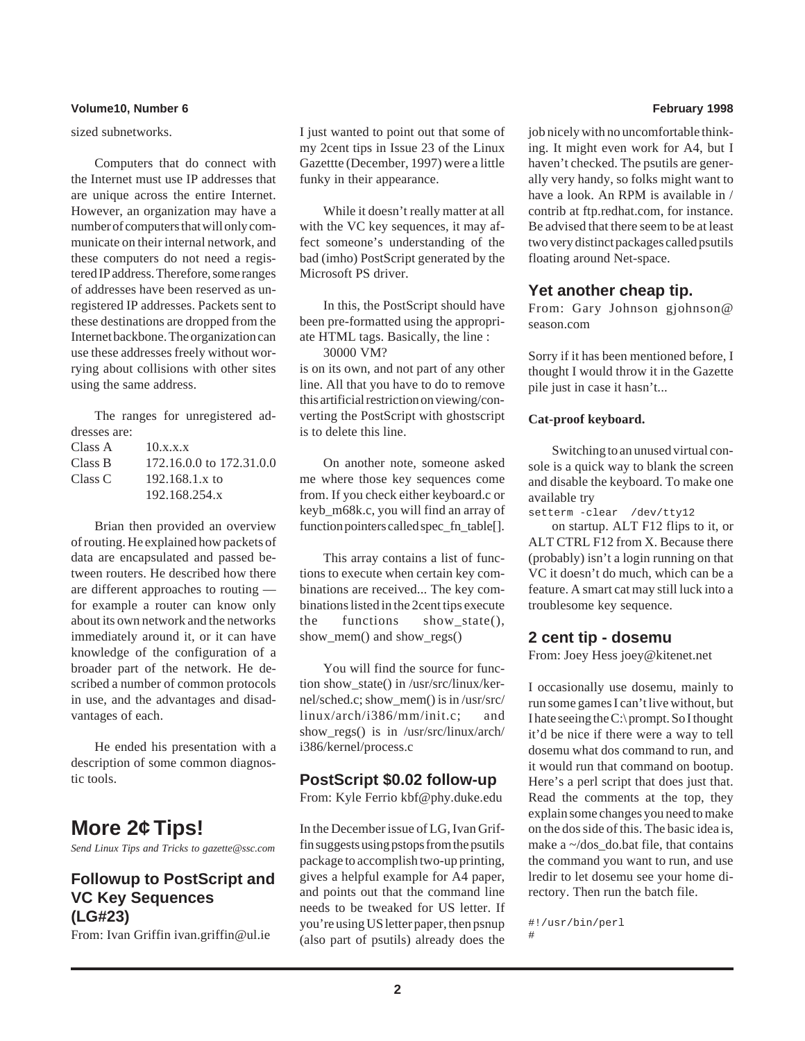#### **Volume10, Number 6 February 1998**

sized subnetworks.

Computers that do connect with the Internet must use IP addresses that are unique across the entire Internet. However, an organization may have a number of computers that will only communicate on their internal network, and these computers do not need a registered IP address. Therefore, some ranges of addresses have been reserved as unregistered IP addresses. Packets sent to these destinations are dropped from the Internet backbone. The organization can use these addresses freely without worrying about collisions with other sites using the same address.

The ranges for unregistered addresses are:

| Class A | 10.x.x.x                 |
|---------|--------------------------|
| Class B | 172.16.0.0 to 172.31.0.0 |
| Class C | $192.168.1.x$ to         |
|         | 192.168.254.x            |

Brian then provided an overview of routing. He explained how packets of data are encapsulated and passed between routers. He described how there are different approaches to routing for example a router can know only about its own network and the networks immediately around it, or it can have knowledge of the configuration of a broader part of the network. He described a number of common protocols in use, and the advantages and disadvantages of each.

He ended his presentation with a description of some common diagnostic tools.

# **More 2¢ Tips!**

*Send Linux Tips and Tricks to gazette@ssc.com*

## **Followup to PostScript and VC Key Sequences (LG#23)**

From: Ivan Griffin ivan.griffin@ul.ie

I just wanted to point out that some of my 2cent tips in Issue 23 of the Linux Gazettte (December, 1997) were a little funky in their appearance.

While it doesn't really matter at all with the VC key sequences, it may affect someone's understanding of the bad (imho) PostScript generated by the Microsoft PS driver.

In this, the PostScript should have been pre-formatted using the appropriate HTML tags. Basically, the line : 30000 VM?

is on its own, and not part of any other line. All that you have to do to remove this artificial restriction on viewing/converting the PostScript with ghostscript is to delete this line.

On another note, someone asked me where those key sequences come from. If you check either keyboard.c or keyb\_m68k.c, you will find an array of function pointers called spec\_fn\_table[].

This array contains a list of functions to execute when certain key combinations are received... The key combinations listed in the 2cent tips execute the functions show\_state(), show\_mem() and show\_regs()

You will find the source for function show\_state() in /usr/src/linux/kernel/sched.c; show\_mem() is in /usr/src/ linux/arch/i386/mm/init.c; and show regs() is in /usr/src/linux/arch/ i386/kernel/process.c

#### **PostScript \$0.02 follow-up**

From: Kyle Ferrio kbf@phy.duke.edu

In the December issue of LG, Ivan Griffin suggests using pstops from the psutils package to accomplish two-up printing, gives a helpful example for A4 paper, and points out that the command line needs to be tweaked for US letter. If you're using US letter paper, then psnup (also part of psutils) already does the

job nicely with no uncomfortable thinking. It might even work for A4, but I haven't checked. The psutils are generally very handy, so folks might want to have a look. An RPM is available in / contrib at ftp.redhat.com, for instance. Be advised that there seem to be at least two very distinct packages called psutils floating around Net-space.

#### **Yet another cheap tip.**

From: Gary Johnson gjohnson@ season.com

Sorry if it has been mentioned before, I thought I would throw it in the Gazette pile just in case it hasn't...

#### **Cat-proof keyboard.**

Switching to an unused virtual console is a quick way to blank the screen and disable the keyboard. To make one available try

```
setterm -clear /dev/tty12
```
on startup. ALT F12 flips to it, or ALT CTRL F12 from X. Because there (probably) isn't a login running on that VC it doesn't do much, which can be a feature. A smart cat may still luck into a troublesome key sequence.

#### **2 cent tip - dosemu**

From: Joey Hess joey@kitenet.net

I occasionally use dosemu, mainly to run some games I can't live without, but I hate seeing the C:\ prompt. So I thought it'd be nice if there were a way to tell dosemu what dos command to run, and it would run that command on bootup. Here's a perl script that does just that. Read the comments at the top, they explain some changes you need to make on the dos side of this. The basic idea is, make a  $\sim$ /dos do.bat file, that contains the command you want to run, and use lredir to let dosemu see your home directory. Then run the batch file.

#!/usr/bin/perl #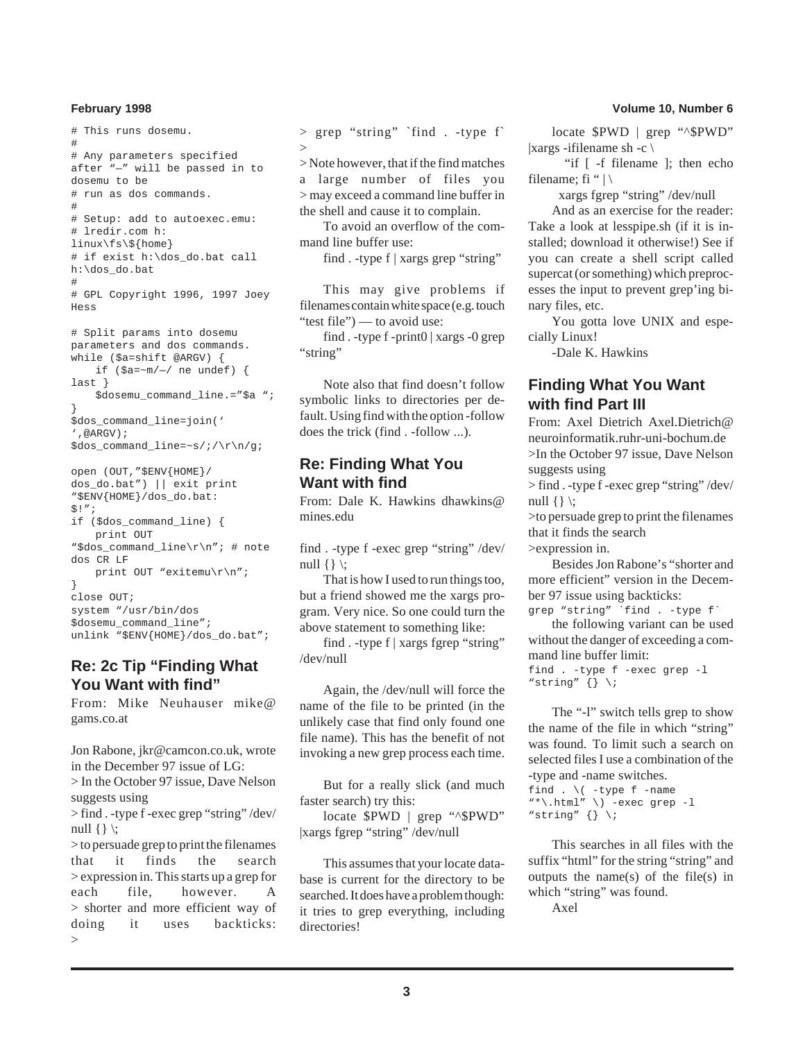```
# This runs dosemu.
#
# Any parameters specified
after "—" will be passed in to
dosemu to be
# run as dos commands.
#
# Setup: add to autoexec.emu:
# lredir.com h:
linux\fs\${home}
# if exist h:\dos_do.bat call
h:\dos_do.bat
#
# GPL Copyright 1996, 1997 Joey
Hess
# Split params into dosemu
parameters and dos commands.
while ($a=shift @ARGV) {
    if (sa=\nu/(1-\gamma)) ne undef) {
last }
    $dosemu_command_line.="$a ";
}
$dos_command_line=join('
',@ARGV);
$dos_command_line=~s/;/\r\n/g;
open (OUT,"$ENV{HOME}/
dos_do.bat") || exit print
"$ENV{HOME}/dos_do.bat:
$!";
if ($dos_command_line) {
    print OUT
"$dos_command_line\r\n"; # note
dos CR LF
```
print OUT "exitemu\r\n"; } close OUT; system "/usr/bin/dos \$dosemu\_command\_line"; unlink "\$ENV{HOME}/dos\_do.bat";

## **Re: 2c Tip "Finding What You Want with find"**

From: Mike Neuhauser mike@ gams.co.at

Jon Rabone, jkr@camcon.co.uk, wrote in the December 97 issue of LG:

> In the October 97 issue, Dave Nelson suggests using

> find . -type f -exec grep "string" /dev/ null  $\{\}\$ 

> to persuade grep to print the filenames that it finds the search > expression in. This starts up a grep for each file, however. A > shorter and more efficient way of doing it uses backticks: >

> grep "string" `find . -type f`  $\rightarrow$ 

> Note however, that if the find matches a large number of files you > may exceed a command line buffer in the shell and cause it to complain.

To avoid an overflow of the command line buffer use:

find . -type f | xargs grep "string"

This may give problems if filenames contain white space (e.g. touch "test file") — to avoid use:

find . -type f -print0 | xargs -0 grep "string"

Note also that find doesn't follow symbolic links to directories per default. Using find with the option -follow does the trick (find . -follow ...).

### **Re: Finding What You Want with find**

From: Dale K. Hawkins dhawkins@ mines.edu

find . -type f -exec grep "string" /dev/ null  $\{\}\$ 

That is how I used to run things too, but a friend showed me the xargs program. Very nice. So one could turn the above statement to something like:

find . -type f | xargs fgrep "string" /dev/null

Again, the /dev/null will force the name of the file to be printed (in the unlikely case that find only found one file name). This has the benefit of not invoking a new grep process each time.

But for a really slick (and much faster search) try this:

locate \$PWD | grep "^\$PWD" |xargs fgrep "string" /dev/null

This assumes that your locate database is current for the directory to be searched. It does have a problem though: it tries to grep everything, including directories!

locate \$PWD | grep "^\$PWD" |xargs -ifilename sh -c  $\langle$ 

 "if [ -f filename ]; then echo filename; fi " $|\rangle$ 

xargs fgrep "string" /dev/null

And as an exercise for the reader: Take a look at lesspipe.sh (if it is installed; download it otherwise!) See if you can create a shell script called supercat (or something) which preprocesses the input to prevent grep'ing binary files, etc.

You gotta love UNIX and especially Linux!

-Dale K. Hawkins

## **Finding What You Want with find Part III**

From: Axel Dietrich Axel.Dietrich@ neuroinformatik.ruhr-uni-bochum.de >In the October 97 issue, Dave Nelson suggests using

> find . -type f -exec grep "string" /dev/ null  $\{\}\$ :

>to persuade grep to print the filenames that it finds the search

>expression in.

Besides Jon Rabone's "shorter and more efficient" version in the December 97 issue using backticks:

grep "string" `find . -type f`

the following variant can be used without the danger of exceeding a command line buffer limit:

```
find . -type f -exec grep -l
"string" \{\} \setminus i
```
The "-l" switch tells grep to show the name of the file in which "string" was found. To limit such a search on selected files I use a combination of the -type and -name switches.

```
find . \setminus ( -type f -name
"*\.html" \) -exec grep -l
"string" \{\} \setminus i
```
This searches in all files with the suffix "html" for the string "string" and outputs the name(s) of the file(s) in which "string" was found.

Axel